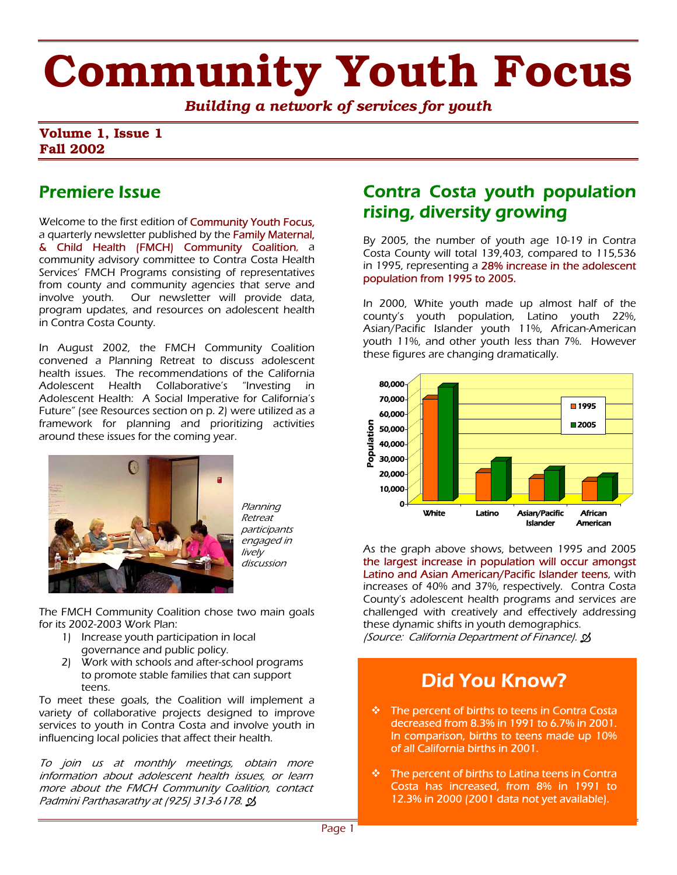# **Community Youth Focus**

*Building a network of services for youth*

#### **Volume 1, Issue 1 Fall 2002**

### Premiere Issue

Welcome to the first edition of **Community Youth Focus,** a quarterly newsletter published by the Family Maternal, & Child Health (FMCH) Community Coalition, a community advisory committee to Contra Costa Health Services' FMCH Programs consisting of representatives from county and community agencies that serve and involve youth. Our newsletter will provide data, program updates, and resources on adolescent health in Contra Costa County.

In August 2002, the FMCH Community Coalition convened a Planning Retreat to discuss adolescent health issues. The recommendations of the California Adolescent Health Collaborative's "Investing in Adolescent Health: A Social Imperative for California's Future" (see Resources section on p. 2) were utilized as a framework for planning and prioritizing activities around these issues for the coming year.



Planning Retreat participants engaged in lively discussion

The FMCH Community Coalition chose two main goals for its 2002-2003 Work Plan:

- 1) Increase youth participation in local governance and public policy.
- 2) Work with schools and after-school programs to promote stable families that can support teens.

To meet these goals, the Coalition will implement a variety of collaborative projects designed to improve services to youth in Contra Costa and involve youth in influencing local policies that affect their health.

To join us at monthly meetings, obtain more information about adolescent health issues, or learn more about the FMCH Community Coalition, contact Padmini Parthasarathy at (925) 313-6178.

### Contra Costa youth population rising, diversity growing

By 2005, the number of youth age 10-19 in Contra Costa County will total 139,403, compared to 115,536 in 1995, representing a 28% increase in the adolescent population from 1995 to 2005.

In 2000, White youth made up almost half of the county's youth population, Latino youth 22%, Asian/Pacific Islander youth 11%, African-American youth 11%, and other youth less than 7%. However these figures are changing dramatically.



As the graph above shows, between 1995 and 2005 the largest increase in population will occur amongst Latino and Asian American/Pacific Islander teens, with increases of 40% and 37%, respectively. Contra Costa County's adolescent health programs and services are challenged with creatively and effectively addressing these dynamic shifts in youth demographics. (Source: California Department of Finance).  $\mathcal{B}$ 

## Did You Know?

- The percent of births to teens in Contra Costa decreased from 8.3% in 1991 to 6.7% in 2001. In comparison, births to teens made up 10% of all California births in 2001.
- $\div$  The percent of births to Latina teens in Contra Costa has increased, from 8% in 1991 to 12.3% in 2000 (2001 data not yet available).